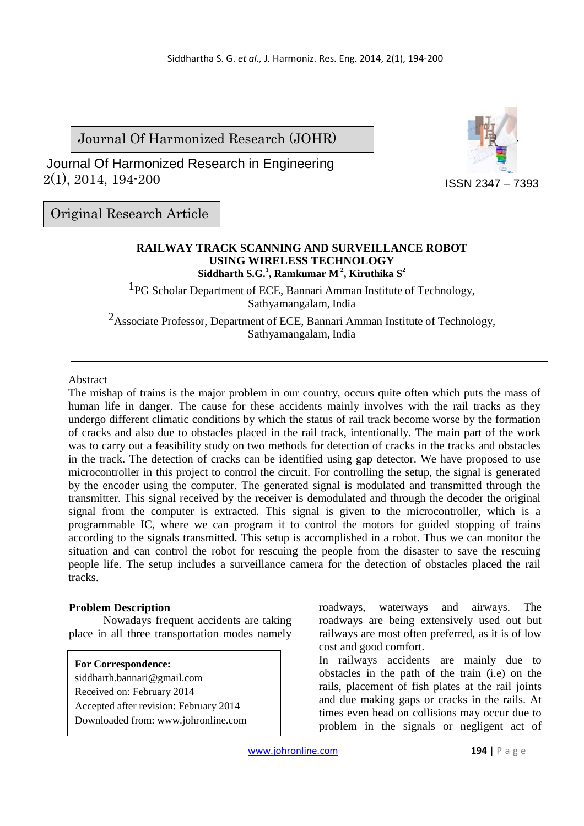Journal Of Harmonized Research (JOHR)

 2(1), 2014, 194-200 Journal Of Harmonized Research in Engineering



ISSN 2347 – 7393

Original Research Article

## **RAILWAY TRACK SCANNING AND SURVEILLANCE ROBOT USING WIRELESS TECHNOLOGY Siddharth S.G.<sup>1</sup> , Ramkumar M<sup>2</sup>, Kiruthika S<sup>2</sup>**

<sup>1</sup>PG Scholar Department of ECE, Bannari Amman Institute of Technology, Sathyamangalam, India

2Associate Professor, Department of ECE, Bannari Amman Institute of Technology, Sathyamangalam, India

## Abstract

The mishap of trains is the major problem in our country, occurs quite often which puts the mass of human life in danger. The cause for these accidents mainly involves with the rail tracks as they undergo different climatic conditions by which the status of rail track become worse by the formation of cracks and also due to obstacles placed in the rail track, intentionally. The main part of the work was to carry out a feasibility study on two methods for detection of cracks in the tracks and obstacles in the track. The detection of cracks can be identified using gap detector. We have proposed to use microcontroller in this project to control the circuit. For controlling the setup, the signal is generated by the encoder using the computer. The generated signal is modulated and transmitted through the transmitter. This signal received by the receiver is demodulated and through the decoder the original signal from the computer is extracted. This signal is given to the microcontroller, which is a programmable IC, where we can program it to control the motors for guided stopping of trains according to the signals transmitted. This setup is accomplished in a robot. Thus we can monitor the situation and can control the robot for rescuing the people from the disaster to save the rescuing people life. The setup includes a surveillance camera for the detection of obstacles placed the rail tracks.

## **Problem Description**

Nowadays frequent accidents are taking place in all three transportation modes namely

**For Correspondence:**  siddharth.bannari@gmail.com Received on: February 2014 Accepted after revision: February 2014 Downloaded from: www.johronline.com roadways, waterways and airways. The roadways are being extensively used out but railways are most often preferred, as it is of low cost and good comfort.

In railways accidents are mainly due to obstacles in the path of the train (i.e) on the rails, placement of fish plates at the rail joints and due making gaps or cracks in the rails. At times even head on collisions may occur due to problem in the signals or negligent act of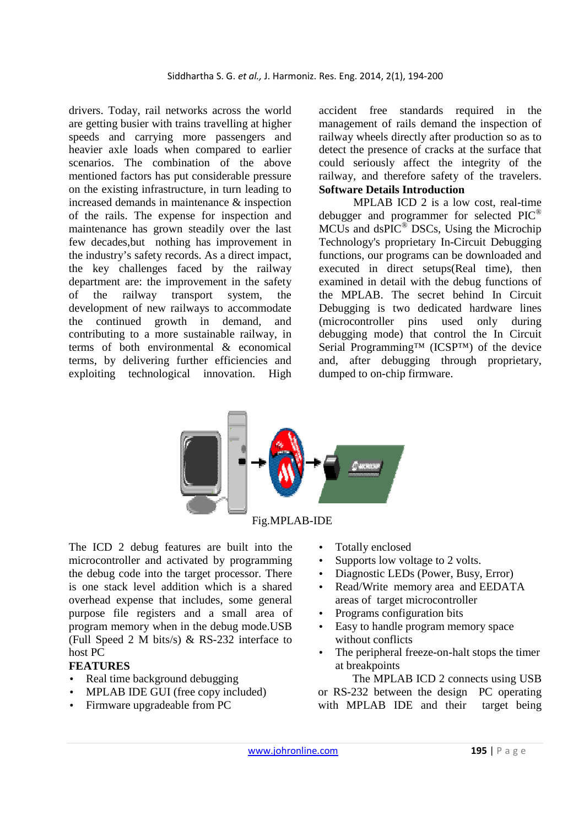drivers. Today, rail networks across the world are getting busier with trains travelling at higher speeds and carrying more passengers and heavier axle loads when compared to earlier scenarios. The combination of the above mentioned factors has put considerable pressure on the existing infrastructure, in turn leading to increased demands in maintenance & inspection of the rails. The expense for inspection and maintenance has grown steadily over the last few decades,but nothing has improvement in the industry's safety records. As a direct impact, the key challenges faced by the railway department are: the improvement in the safety of the railway transport system, the development of new railways to accommodate the continued growth in demand, and contributing to a more sustainable railway, in terms of both environmental & economical terms, by delivering further efficiencies and exploiting technological innovation. High

accident free standards required in the management of rails demand the inspection of railway wheels directly after production so as to detect the presence of cracks at the surface that could seriously affect the integrity of the railway, and therefore safety of the travelers. **Software Details Introduction**

MPLAB ICD 2 is a low cost, real-time debugger and programmer for selected PIC<sup>®</sup> MCUs and dsPIC<sup>®</sup> DSCs, Using the Microchip Technology's proprietary In-Circuit Debugging functions, our programs can be downloaded and executed in direct setups(Real time), then examined in detail with the debug functions of the MPLAB. The secret behind In Circuit Debugging is two dedicated hardware lines (microcontroller pins used only during debugging mode) that control the In Circuit Serial Programming™ (ICSP™) of the device and, after debugging through proprietary, dumped to on-chip firmware.



Fig.MPLAB-IDE

The ICD 2 debug features are built into the microcontroller and activated by programming the debug code into the target processor. There is one stack level addition which is a shared overhead expense that includes, some general purpose file registers and a small area of program memory when in the debug mode.USB (Full Speed 2 M bits/s) & RS-232 interface to host PC

## **FEATURES**

- Real time background debugging
- MPLAB IDE GUI (free copy included)
- Firmware upgradeable from PC
- Totally enclosed
- Supports low voltage to 2 volts.
- Diagnostic LEDs (Power, Busy, Error)
- Read/Write memory area and EEDATA areas of target microcontroller
- Programs configuration bits
- Easy to handle program memory space without conflicts
- The peripheral freeze-on-halt stops the timer at breakpoints

The MPLAB ICD 2 connects using USB or RS-232 between the design PC operating with MPLAB IDE and their target being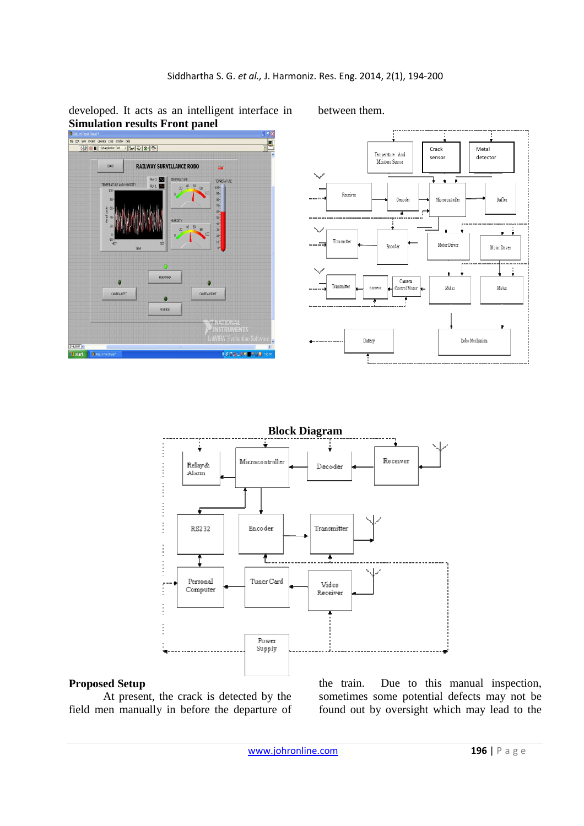developed. It acts as an intelligent interface in between them. **Simulation results Front panel** 





**Block Diagram**  j Receiver Microcontroller Relay & Decoder Alam  $\frac{1}{2}$  $\begin{array}{c}\n\vdots \\
\vdots \\
\vdots\n\end{array}$  $\begin{array}{c} \frac{1}{2} \\ \frac{1}{2} \end{array}$ RS232 Encoder Transmitter Í Ŧ. Ŧ  $\frac{1}{2}$ Personal Tuner Card Video Í Computer Receiver j  $\frac{1}{2}$ Power Supply

#### **Proposed Setup**

At present, the crack is detected by the field men manually in before the departure of the train. Due to this manual inspection, sometimes some potential defects may not be found out by oversight which may lead to the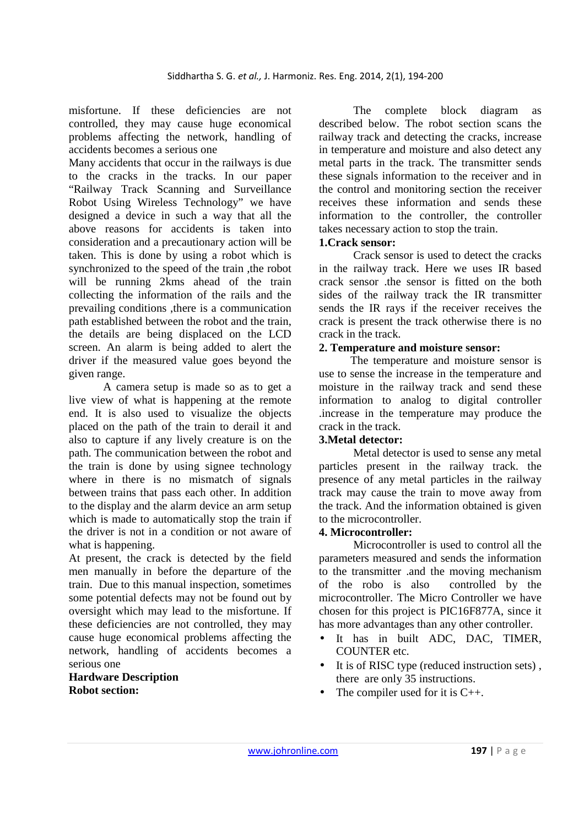misfortune. If these deficiencies are not controlled, they may cause huge economical problems affecting the network, handling of accidents becomes a serious one

Many accidents that occur in the railways is due to the cracks in the tracks. In our paper "Railway Track Scanning and Surveillance Robot Using Wireless Technology" we have designed a device in such a way that all the above reasons for accidents is taken into consideration and a precautionary action will be taken. This is done by using a robot which is synchronized to the speed of the train ,the robot will be running 2kms ahead of the train collecting the information of the rails and the prevailing conditions ,there is a communication path established between the robot and the train, the details are being displaced on the LCD screen. An alarm is being added to alert the driver if the measured value goes beyond the given range.

A camera setup is made so as to get a live view of what is happening at the remote end. It is also used to visualize the objects placed on the path of the train to derail it and also to capture if any lively creature is on the path. The communication between the robot and the train is done by using signee technology where in there is no mismatch of signals between trains that pass each other. In addition to the display and the alarm device an arm setup which is made to automatically stop the train if the driver is not in a condition or not aware of what is happening.

At present, the crack is detected by the field men manually in before the departure of the train. Due to this manual inspection, sometimes some potential defects may not be found out by oversight which may lead to the misfortune. If these deficiencies are not controlled, they may cause huge economical problems affecting the network, handling of accidents becomes a serious one

**Hardware Description Robot section:** 

 The complete block diagram as described below. The robot section scans the railway track and detecting the cracks, increase in temperature and moisture and also detect any metal parts in the track. The transmitter sends these signals information to the receiver and in the control and monitoring section the receiver receives these information and sends these information to the controller, the controller takes necessary action to stop the train.

### **1.Crack sensor:**

Crack sensor is used to detect the cracks in the railway track. Here we uses IR based crack sensor .the sensor is fitted on the both sides of the railway track the IR transmitter sends the IR rays if the receiver receives the crack is present the track otherwise there is no crack in the track.

### **2. Temperature and moisture sensor:**

The temperature and moisture sensor is use to sense the increase in the temperature and moisture in the railway track and send these information to analog to digital controller .increase in the temperature may produce the crack in the track.

## **3.Metal detector:**

Metal detector is used to sense any metal particles present in the railway track. the presence of any metal particles in the railway track may cause the train to move away from the track. And the information obtained is given to the microcontroller.

## **4. Microcontroller:**

Microcontroller is used to control all the parameters measured and sends the information to the transmitter .and the moving mechanism of the robo is also controlled by the microcontroller. The Micro Controller we have chosen for this project is PIC16F877A, since it has more advantages than any other controller.

- It has in built ADC, DAC, TIMER, COUNTER etc.
- It is of RISC type (reduced instruction sets), there are only 35 instructions.
- The compiler used for it is  $C_{++}$ .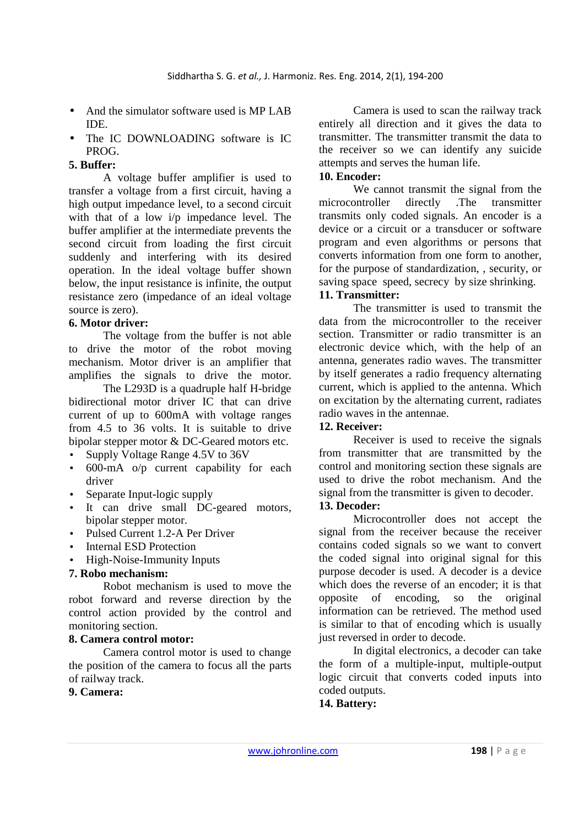- And the simulator software used is MP LAB IDE.
- The IC DOWNLOADING software is IC PROG.

## **5. Buffer:**

A voltage buffer amplifier is used to transfer a voltage from a first circuit, having a high output impedance level, to a second circuit with that of a low  $i/p$  impedance level. The buffer amplifier at the intermediate prevents the second circuit from loading the first circuit suddenly and interfering with its desired operation. In the ideal voltage buffer shown below, the input resistance is infinite, the output resistance zero (impedance of an ideal voltage source is zero).

## **6. Motor driver:**

The voltage from the buffer is not able to drive the motor of the robot moving mechanism. Motor driver is an amplifier that amplifies the signals to drive the motor.

The L293D is a quadruple half H-bridge bidirectional motor driver IC that can drive current of up to 600mA with voltage ranges from 4.5 to 36 volts. It is suitable to drive bipolar stepper motor & DC-Geared motors etc.

- Supply Voltage Range 4.5V to 36V
- 600-mA o/p current capability for each driver
- Separate Input-logic supply
- It can drive small DC-geared motors, bipolar stepper motor.
- Pulsed Current 1.2-A Per Driver
- Internal ESD Protection
- High-Noise-Immunity Inputs

## **7. Robo mechanism:**

Robot mechanism is used to move the robot forward and reverse direction by the control action provided by the control and monitoring section.

## **8. Camera control motor:**

Camera control motor is used to change the position of the camera to focus all the parts of railway track.

## **9. Camera:**

Camera is used to scan the railway track entirely all direction and it gives the data to transmitter. The transmitter transmit the data to the receiver so we can identify any suicide attempts and serves the human life.

#### **10. Encoder:**

We cannot transmit the signal from the microcontroller directly .The transmitter transmits only coded signals. An encoder is a device or a circuit or a transducer or software program and even algorithms or persons that converts information from one form to another, for the purpose of standardization, , security, or saving space speed, secrecy by size shrinking.

# **11. Transmitter:**

 The transmitter is used to transmit the data from the microcontroller to the receiver section. Transmitter or radio transmitter is an electronic device which, with the help of an antenna, generates radio waves. The transmitter by itself generates a radio frequency alternating current, which is applied to the antenna. Which on excitation by the alternating current, radiates radio waves in the antennae.

# **12. Receiver:**

 Receiver is used to receive the signals from transmitter that are transmitted by the control and monitoring section these signals are used to drive the robot mechanism. And the signal from the transmitter is given to decoder.

## **13. Decoder:**

 Microcontroller does not accept the signal from the receiver because the receiver contains coded signals so we want to convert the coded signal into original signal for this purpose decoder is used. A decoder is a device which does the reverse of an encoder; it is that opposite of encoding, so the original information can be retrieved. The method used is similar to that of encoding which is usually just reversed in order to decode.

In digital electronics, a decoder can take the form of a multiple-input, multiple-output logic circuit that converts coded inputs into coded outputs.

# **14. Battery:**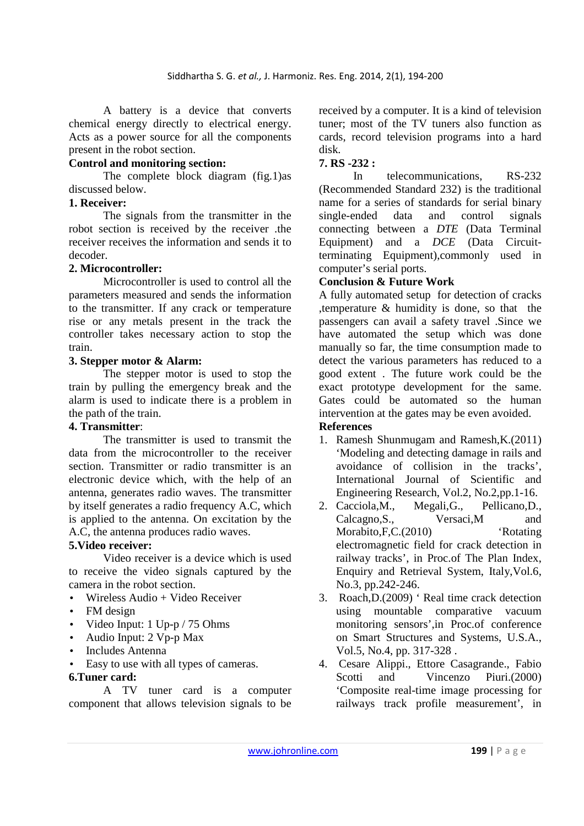A battery is a device that converts chemical energy directly to electrical energy. Acts as a power source for all the components present in the robot section.

# **Control and monitoring section:**

The complete block diagram (fig.1)as discussed below.

## **1. Receiver:**

The signals from the transmitter in the robot section is received by the receiver .the receiver receives the information and sends it to decoder.

## **2. Microcontroller:**

 Microcontroller is used to control all the parameters measured and sends the information to the transmitter. If any crack or temperature rise or any metals present in the track the controller takes necessary action to stop the train.

## **3. Stepper motor & Alarm:**

The stepper motor is used to stop the train by pulling the emergency break and the alarm is used to indicate there is a problem in the path of the train.

## **4. Transmitter**:

The transmitter is used to transmit the data from the microcontroller to the receiver section. Transmitter or radio transmitter is an electronic device which, with the help of an antenna, generates radio waves. The transmitter by itself generates a radio frequency A.C, which is applied to the antenna. On excitation by the A.C, the antenna produces radio waves.

# **5.Video receiver:**

 Video receiver is a device which is used to receive the video signals captured by the camera in the robot section.

- $Wireless Audio + Video Receiver$
- FM design
- Video Input: 1 Up-p / 75 Ohms
- Audio Input: 2 Vp-p Max
- Includes Antenna
- Easy to use with all types of cameras.

## **6.Tuner card:**

 A TV tuner card is a computer component that allows television signals to be

received by a computer. It is a kind of television tuner; most of the TV tuners also function as cards, record television programs into a hard disk.

# **7. RS -232 :**

 In telecommunications, RS-232 (Recommended Standard 232) is the traditional name for a series of standards for serial binary single-ended data and control signals connecting between a *DTE* (Data Terminal Equipment) and a *DCE* (Data Circuitterminating Equipment),commonly used in computer's serial ports.

## **Conclusion & Future Work**

A fully automated setup for detection of cracks ,temperature & humidity is done, so that the passengers can avail a safety travel .Since we have automated the setup which was done manually so far, the time consumption made to detect the various parameters has reduced to a good extent . The future work could be the exact prototype development for the same. Gates could be automated so the human intervention at the gates may be even avoided. **References** 

- 1. Ramesh Shunmugam and Ramesh,K.(2011) 'Modeling and detecting damage in rails and avoidance of collision in the tracks', International Journal of Scientific and Engineering Research, Vol.2, No.2,pp.1-16.
- 2. Cacciola,M., Megali,G., Pellicano,D., Calcagno, S., Versaci, M and Morabito, F.C.<sup>(2010)</sup> 'Rotating electromagnetic field for crack detection in railway tracks', in Proc.of The Plan Index, Enquiry and Retrieval System, Italy,Vol.6, No.3, pp.242-246.
- 3. Roach,D.(2009) ' Real time crack detection using mountable comparative vacuum monitoring sensors',in Proc.of conference on Smart Structures and Systems, U.S.A., Vol.5, No.4, pp. 317-328 .
- 4. Cesare Alippi., Ettore Casagrande., Fabio Scotti and Vincenzo Piuri.(2000) 'Composite real-time image processing for railways track profile measurement', in